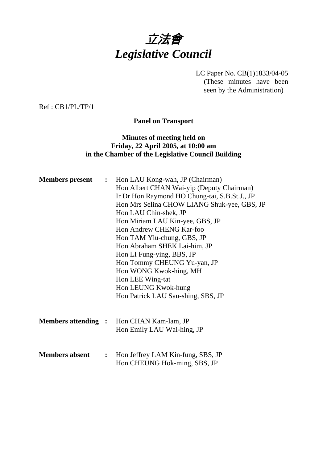

LC Paper No. CB(1)1833/04-05 (These minutes have been seen by the Administration)

Ref : CB1/PL/TP/1

**Panel on Transport** 

## **Minutes of meeting held on Friday, 22 April 2005, at 10:00 am in the Chamber of the Legislative Council Building**

|                       |                | <b>Members present :</b> Hon LAU Kong-wah, JP (Chairman) |
|-----------------------|----------------|----------------------------------------------------------|
|                       |                | Hon Albert CHAN Wai-yip (Deputy Chairman)                |
|                       |                | Ir Dr Hon Raymond HO Chung-tai, S.B.St.J., JP            |
|                       |                | Hon Mrs Selina CHOW LIANG Shuk-yee, GBS, JP              |
|                       |                | Hon LAU Chin-shek, JP                                    |
|                       |                | Hon Miriam LAU Kin-yee, GBS, JP                          |
|                       |                | Hon Andrew CHENG Kar-foo                                 |
|                       |                | Hon TAM Yiu-chung, GBS, JP                               |
|                       |                | Hon Abraham SHEK Lai-him, JP                             |
|                       |                | Hon LI Fung-ying, BBS, JP                                |
|                       |                | Hon Tommy CHEUNG Yu-yan, JP                              |
|                       |                | Hon WONG Kwok-hing, MH                                   |
|                       |                | Hon LEE Wing-tat                                         |
|                       |                | Hon LEUNG Kwok-hung                                      |
|                       |                | Hon Patrick LAU Sau-shing, SBS, JP                       |
|                       |                |                                                          |
|                       |                |                                                          |
|                       |                | <b>Members attending :</b> Hon CHAN Kam-lam, JP          |
|                       |                | Hon Emily LAU Wai-hing, JP                               |
|                       |                |                                                          |
|                       |                |                                                          |
| <b>Members absent</b> | $\ddot{\cdot}$ | Hon Jeffrey LAM Kin-fung, SBS, JP                        |
|                       |                | Hon CHEUNG Hok-ming, SBS, JP                             |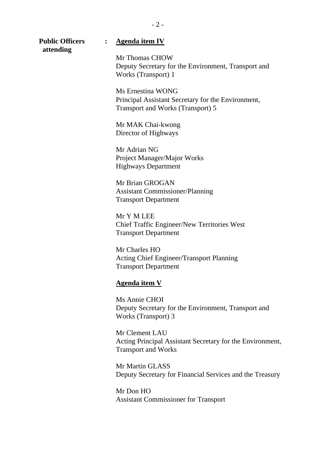| <b>Public Officers</b><br>attending | <b>Agenda item IV</b>                                                                                        |
|-------------------------------------|--------------------------------------------------------------------------------------------------------------|
|                                     | Mr Thomas CHOW<br>Deputy Secretary for the Environment, Transport and<br>Works (Transport) 1                 |
|                                     | Ms Ernestina WONG<br>Principal Assistant Secretary for the Environment,<br>Transport and Works (Transport) 5 |
|                                     | Mr MAK Chai-kwong<br>Director of Highways                                                                    |
|                                     | Mr Adrian NG<br>Project Manager/Major Works<br><b>Highways Department</b>                                    |
|                                     | Mr Brian GROGAN<br><b>Assistant Commissioner/Planning</b><br><b>Transport Department</b>                     |
|                                     | Mr Y M LEE<br>Chief Traffic Engineer/New Territories West<br><b>Transport Department</b>                     |
|                                     | Mr Charles HO<br><b>Acting Chief Engineer/Transport Planning</b><br><b>Transport Department</b>              |
|                                     | <b>Agenda item V</b>                                                                                         |
|                                     | Ms Annie CHOI<br>Deputy Secretary for the Environment, Transport and<br>Works (Transport) 3                  |
|                                     | Mr Clement LAU<br>Acting Principal Assistant Secretary for the Environment,<br><b>Transport and Works</b>    |
|                                     | Mr Martin GLASS<br>Deputy Secretary for Financial Services and the Treasury                                  |
|                                     | Mr Don HO                                                                                                    |

Assistant Commissioner for Transport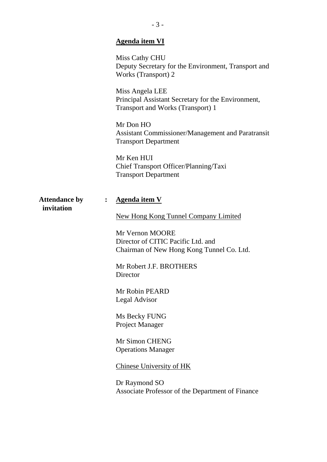|                                                      | <b>Agenda item VI</b>                                                                                                                             |
|------------------------------------------------------|---------------------------------------------------------------------------------------------------------------------------------------------------|
|                                                      | Miss Cathy CHU<br>Deputy Secretary for the Environment, Transport and<br>Works (Transport) 2                                                      |
|                                                      | Miss Angela LEE<br>Principal Assistant Secretary for the Environment,<br>Transport and Works (Transport) 1                                        |
|                                                      | Mr Don HO<br>Assistant Commissioner/Management and Paratransit<br><b>Transport Department</b>                                                     |
|                                                      | Mr Ken HUI<br>Chief Transport Officer/Planning/Taxi<br><b>Transport Department</b>                                                                |
| <b>Attendance by</b><br>$\ddot{\cdot}$<br>invitation | <b>Agenda item V</b>                                                                                                                              |
|                                                      | <b>New Hong Kong Tunnel Company Limited</b><br>Mr Vernon MOORE<br>Director of CITIC Pacific Ltd. and<br>Chairman of New Hong Kong Tunnel Co. Ltd. |
|                                                      | Mr Robert J.F. BROTHERS<br>Director                                                                                                               |
|                                                      | Mr Robin PEARD<br><b>Legal Advisor</b>                                                                                                            |
|                                                      | Ms Becky FUNG<br>Project Manager                                                                                                                  |
|                                                      | Mr Simon CHENG<br><b>Operations Manager</b>                                                                                                       |
|                                                      | <b>Chinese University of HK</b>                                                                                                                   |
|                                                      | Dr Raymond SO<br>Associate Professor of the Department of Finance                                                                                 |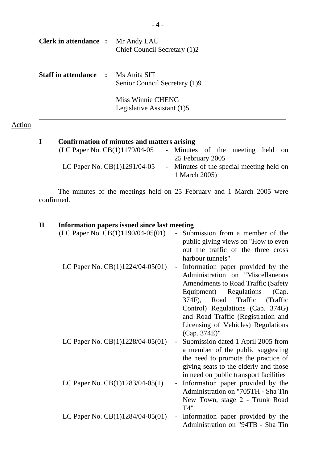| <b>Clerk in attendance :</b> Mr Andy LAU  | Chief Council Secretary (1)2                    |
|-------------------------------------------|-------------------------------------------------|
| <b>Staff in attendance : Ms Anita SIT</b> | Senior Council Secretary (1)9                   |
|                                           | Miss Winnie CHENG<br>Legislative Assistant (1)5 |

# Action

| Confirmation of minutes and matters arising |                                          |  |  |  |
|---------------------------------------------|------------------------------------------|--|--|--|
| (LC Paper No. CB(1)1179/04-05               | - Minutes of the meeting held on         |  |  |  |
|                                             | 25 February 2005                         |  |  |  |
| LC Paper No. $CB(1)1291/04-05$              | - Minutes of the special meeting held on |  |  |  |
|                                             | 1 March 2005)                            |  |  |  |

 The minutes of the meetings held on 25 February and 1 March 2005 were confirmed.

## **II Information papers issued since last meeting**

| (LC Paper No. CB(1)1190/04-05(01)  | Submission from a member of the<br>public giving views on "How to even<br>out the traffic of the three cross<br>harbour tunnels"                                                                                                                                                                                           |
|------------------------------------|----------------------------------------------------------------------------------------------------------------------------------------------------------------------------------------------------------------------------------------------------------------------------------------------------------------------------|
| LC Paper No. $CB(1)1224/04-05(01)$ | - Information paper provided by the<br>Administration on "Miscellaneous<br><b>Amendments to Road Traffic (Safety</b><br>Equipment) Regulations<br>(Cap.<br>374F), Road Traffic<br>(Traffic<br>Control) Regulations (Cap. 374G)<br>and Road Traffic (Registration and<br>Licensing of Vehicles) Regulations<br>(Cap. 374E)" |
| LC Paper No. $CB(1)1228/04-05(01)$ | Submission dated 1 April 2005 from<br>$\sim$<br>a member of the public suggesting<br>the need to promote the practice of<br>giving seats to the elderly and those<br>in need on public transport facilities                                                                                                                |
| LC Paper No. CB(1)1283/04-05(1)    | - Information paper provided by the<br>Administration on "705TH - Sha Tin<br>New Town, stage 2 - Trunk Road<br>T4"                                                                                                                                                                                                         |
| LC Paper No. $CB(1)1284/04-05(01)$ | - Information paper provided by the<br>Administration on "94TB - Sha Tin                                                                                                                                                                                                                                                   |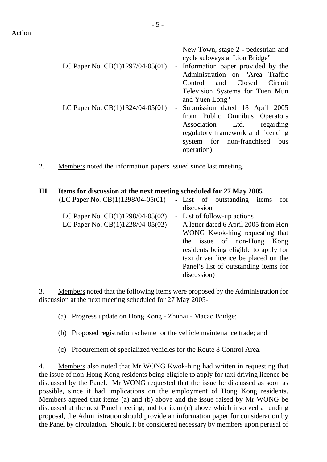Action

|                                    | New Town, stage 2 - pedestrian and<br>cycle subways at Lion Bridge" |
|------------------------------------|---------------------------------------------------------------------|
| LC Paper No. $CB(1)1297/04-05(01)$ | - Information paper provided by the                                 |
|                                    | Administration on "Area Traffic                                     |
|                                    | Control and Closed Circuit                                          |
|                                    | Television Systems for Tuen Mun                                     |
|                                    | and Yuen Long"                                                      |
| LC Paper No. $CB(1)1324/04-05(01)$ | - Submission dated 18 April 2005                                    |
|                                    | from Public Omnibus Operators                                       |
|                                    | Association Ltd.<br>regarding                                       |
|                                    | regulatory framework and licencing                                  |
|                                    | system for non-franchised<br>bus                                    |
|                                    | operation)                                                          |
|                                    |                                                                     |

2. Members noted the information papers issued since last meeting.

## **III Items for discussion at the next meeting scheduled for 27 May 2005**

| (LC Paper No. $CB(1)1298/04-05(01)$ ) | - List of outstanding items<br>for     |
|---------------------------------------|----------------------------------------|
|                                       | discussion                             |
| LC Paper No. $CB(1)1298/04-05(02)$    | - List of follow-up actions            |
| LC Paper No. CB(1)1228/04-05(02)      | - A letter dated 6 April 2005 from Hon |
|                                       | WONG Kwok-hing requesting that         |
|                                       | the issue of non-Hong<br>Kong          |
|                                       | residents being eligible to apply for  |
|                                       | taxi driver licence be placed on the   |
|                                       | Panel's list of outstanding items for  |
|                                       | discussion)                            |
|                                       |                                        |

3. Members noted that the following items were proposed by the Administration for discussion at the next meeting scheduled for 27 May 2005-

(a) Progress update on Hong Kong - Zhuhai - Macao Bridge;

- (b) Proposed registration scheme for the vehicle maintenance trade; and
- (c) Procurement of specialized vehicles for the Route 8 Control Area.

4. Members also noted that Mr WONG Kwok-hing had written in requesting that the issue of non-Hong Kong residents being eligible to apply for taxi driving licence be discussed by the Panel. Mr WONG requested that the issue be discussed as soon as possible, since it had implications on the employment of Hong Kong residents. Members agreed that items (a) and (b) above and the issue raised by Mr WONG be discussed at the next Panel meeting, and for item (c) above which involved a funding proposal, the Administration should provide an information paper for consideration by the Panel by circulation. Should it be considered necessary by members upon perusal of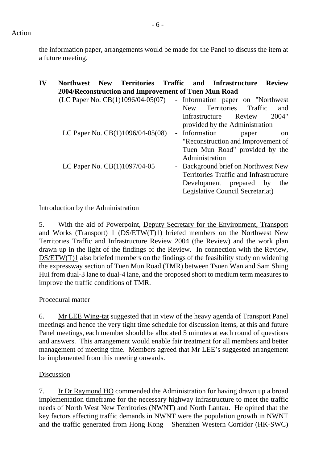the information paper, arrangements would be made for the Panel to discuss the item at a future meeting.

| IV | <b>New</b><br><b>Northwest</b><br>2004/Reconstruction and Improvement of Tuen Mun Road | <b>Territories Traffic</b> |        |                                 | and Infrastructure                                                                                                                         | <b>Review</b> |               |
|----|----------------------------------------------------------------------------------------|----------------------------|--------|---------------------------------|--------------------------------------------------------------------------------------------------------------------------------------------|---------------|---------------|
|    | $(LC$ Paper No. $CB(1)1096/04-05(07)$ - Information paper on "Northwest"               |                            |        | New<br>Infrastructure           | Territories Traffic<br>Review<br>provided by the Administration                                                                            |               | and<br>2004"  |
|    | LC Paper No. $CB(1)1096/04-05(08)$                                                     |                            |        | - Information<br>Administration | paper<br>"Reconstruction and Improvement of<br>Tuen Mun Road" provided by the                                                              |               | <sub>on</sub> |
|    | LC Paper No. CB(1)1097/04-05                                                           |                            | $\sim$ |                                 | Background brief on Northwest New<br>Territories Traffic and Infrastructure<br>Development prepared by<br>Legislative Council Secretariat) |               | the           |

## Introduction by the Administration

5. With the aid of Powerpoint, Deputy Secretary for the Environment, Transport and Works (Transport) 1 (DS/ETW(T)1) briefed members on the Northwest New Territories Traffic and Infrastructure Review 2004 (the Review) and the work plan drawn up in the light of the findings of the Review. In connection with the Review, DS/ETW(T)1 also briefed members on the findings of the feasibility study on widening the expressway section of Tuen Mun Road (TMR) between Tsuen Wan and Sam Shing Hui from dual-3 lane to dual-4 lane, and the proposed short to medium term measures to improve the traffic conditions of TMR.

## Procedural matter

6. Mr LEE Wing-tat suggested that in view of the heavy agenda of Transport Panel meetings and hence the very tight time schedule for discussion items, at this and future Panel meetings, each member should be allocated 5 minutes at each round of questions and answers. This arrangement would enable fair treatment for all members and better management of meeting time. Members agreed that Mr LEE's suggested arrangement be implemented from this meeting onwards.

## Discussion

7. Ir Dr Raymond HO commended the Administration for having drawn up a broad implementation timeframe for the necessary highway infrastructure to meet the traffic needs of North West New Territories (NWNT) and North Lantau. He opined that the key factors affecting traffic demands in NWNT were the population growth in NWNT and the traffic generated from Hong Kong – Shenzhen Western Corridor (HK-SWC)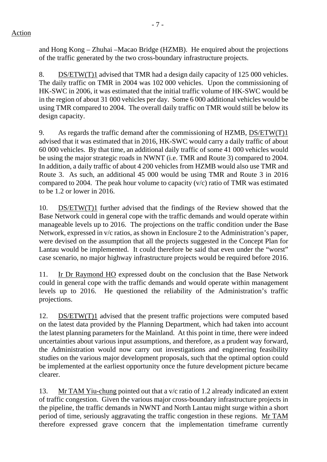and Hong Kong – Zhuhai –Macao Bridge (HZMB). He enquired about the projections of the traffic generated by the two cross-boundary infrastructure projects.

8. DS/ETW(T)1 advised that TMR had a design daily capacity of 125 000 vehicles. The daily traffic on TMR in 2004 was 102 000 vehicles. Upon the commissioning of HK-SWC in 2006, it was estimated that the initial traffic volume of HK-SWC would be in the region of about 31 000 vehicles per day. Some 6 000 additional vehicles would be using TMR compared to 2004. The overall daily traffic on TMR would still be below its design capacity.

9. As regards the traffic demand after the commissioning of HZMB, DS/ETW(T)1 advised that it was estimated that in 2016, HK-SWC would carry a daily traffic of about 60 000 vehicles. By that time, an additional daily traffic of some 41 000 vehicles would be using the major strategic roads in NWNT (i.e. TMR and Route 3) compared to 2004. In addition, a daily traffic of about 4 200 vehicles from HZMB would also use TMR and Route 3. As such, an additional 45 000 would be using TMR and Route 3 in 2016 compared to 2004. The peak hour volume to capacity (v/c) ratio of TMR was estimated to be 1.2 or lower in 2016.

10. DS/ETW(T)1 further advised that the findings of the Review showed that the Base Network could in general cope with the traffic demands and would operate within manageable levels up to 2016. The projections on the traffic condition under the Base Network, expressed in v/c ratios, as shown in Enclosure 2 to the Administration's paper, were devised on the assumption that all the projects suggested in the Concept Plan for Lantau would be implemented. It could therefore be said that even under the "worst" case scenario, no major highway infrastructure projects would be required before 2016.

11. Ir Dr Raymond HO expressed doubt on the conclusion that the Base Network could in general cope with the traffic demands and would operate within management levels up to 2016. He questioned the reliability of the Administration's traffic projections.

12. DS/ETW(T)1 advised that the present traffic projections were computed based on the latest data provided by the Planning Department, which had taken into account the latest planning parameters for the Mainland. At this point in time, there were indeed uncertainties about various input assumptions, and therefore, as a prudent way forward, the Administration would now carry out investigations and engineering feasibility studies on the various major development proposals, such that the optimal option could be implemented at the earliest opportunity once the future development picture became clearer.

13. Mr TAM Yiu-chung pointed out that a v/c ratio of 1.2 already indicated an extent of traffic congestion. Given the various major cross-boundary infrastructure projects in the pipeline, the traffic demands in NWNT and North Lantau might surge within a short period of time, seriously aggravating the traffic congestion in these regions. Mr TAM therefore expressed grave concern that the implementation timeframe currently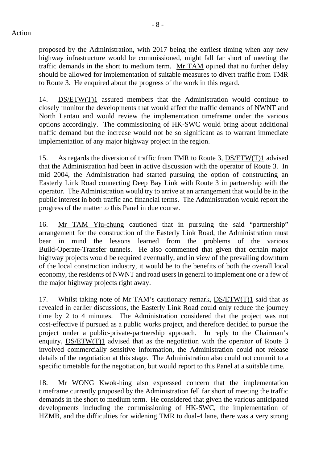proposed by the Administration, with 2017 being the earliest timing when any new highway infrastructure would be commissioned, might fall far short of meeting the traffic demands in the short to medium term. Mr TAM opined that no further delay should be allowed for implementation of suitable measures to divert traffic from TMR to Route 3. He enquired about the progress of the work in this regard.

14. DS/ETW(T)1 assured members that the Administration would continue to closely monitor the developments that would affect the traffic demands of NWNT and North Lantau and would review the implementation timeframe under the various options accordingly. The commissioning of HK-SWC would bring about additional traffic demand but the increase would not be so significant as to warrant immediate implementation of any major highway project in the region.

15. As regards the diversion of traffic from TMR to Route 3, DS/ETW(T)1 advised that the Administration had been in active discussion with the operator of Route 3. In mid 2004, the Administration had started pursuing the option of constructing an Easterly Link Road connecting Deep Bay Link with Route 3 in partnership with the operator. The Administration would try to arrive at an arrangement that would be in the public interest in both traffic and financial terms. The Administration would report the progress of the matter to this Panel in due course.

16. Mr TAM Yiu-chung cautioned that in pursuing the said "partnership" arrangement for the construction of the Easterly Link Road, the Administration must bear in mind the lessons learned from the problems of the various Build-Operate-Transfer tunnels. He also commented that given that certain major highway projects would be required eventually, and in view of the prevailing downturn of the local construction industry, it would be to the benefits of both the overall local economy, the residents of NWNT and road users in general to implement one or a few of the major highway projects right away.

17. Whilst taking note of Mr TAM's cautionary remark, DS/ETW(T)1 said that as revealed in earlier discussions, the Easterly Link Road could only reduce the journey time by 2 to 4 minutes. The Administration considered that the project was not cost-effective if pursued as a public works project, and therefore decided to pursue the project under a public-private-partnership approach. In reply to the Chairman's enquiry, DS/ETW(T)1 advised that as the negotiation with the operator of Route 3 involved commercially sensitive information, the Administration could not release details of the negotiation at this stage. The Administration also could not commit to a specific timetable for the negotiation, but would report to this Panel at a suitable time.

18. Mr WONG Kwok-hing also expressed concern that the implementation timeframe currently proposed by the Administration fell far short of meeting the traffic demands in the short to medium term. He considered that given the various anticipated developments including the commissioning of HK-SWC, the implementation of HZMB, and the difficulties for widening TMR to dual-4 lane, there was a very strong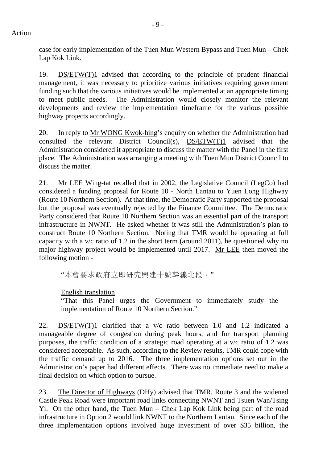case for early implementation of the Tuen Mun Western Bypass and Tuen Mun – Chek Lap Kok Link.

19. DS/ETW(T)1 advised that according to the principle of prudent financial management, it was necessary to prioritize various initiatives requiring government funding such that the various initiatives would be implemented at an appropriate timing to meet public needs. The Administration would closely monitor the relevant developments and review the implementation timeframe for the various possible highway projects accordingly.

20. In reply to Mr WONG Kwok-hing's enquiry on whether the Administration had consulted the relevant District  $\overline{\text{Count}(s)}$ ,  $\overline{\text{DS/ETW}(T)1}$  advised that the Administration considered it appropriate to discuss the matter with the Panel in the first place. The Administration was arranging a meeting with Tuen Mun District Council to discuss the matter.

21. Mr LEE Wing-tat recalled that in 2002, the Legislative Council (LegCo) had considered a funding proposal for Route 10 - North Lantau to Yuen Long Highway (Route 10 Northern Section). At that time, the Democratic Party supported the proposal but the proposal was eventually rejected by the Finance Committee. The Democratic Party considered that Route 10 Northern Section was an essential part of the transport infrastructure in NWNT. He asked whether it was still the Administration's plan to construct Route 10 Northern Section. Noting that TMR would be operating at full capacity with a v/c ratio of 1.2 in the short term (around 2011), he questioned why no major highway project would be implemented until 2017. Mr LEE then moved the following motion -

"本會要求政府立即研究興建十號幹線北段。"

English translation

"That this Panel urges the Government to immediately study the implementation of Route 10 Northern Section."

22. DS/ETW(T)1 clarified that a v/c ratio between 1.0 and 1.2 indicated a manageable degree of congestion during peak hours, and for transport planning purposes, the traffic condition of a strategic road operating at a v/c ratio of 1.2 was considered acceptable. As such, according to the Review results, TMR could cope with the traffic demand up to 2016. The three implementation options set out in the Administration's paper had different effects. There was no immediate need to make a final decision on which option to pursue.

23. The Director of Highways (DHy) advised that TMR, Route 3 and the widened Castle Peak Road were important road links connecting NWNT and Tsuen Wan/Tsing Yi. On the other hand, the Tuen Mun – Chek Lap Kok Link being part of the road infrastructure in Option 2 would link NWNT to the Northern Lantau. Since each of the three implementation options involved huge investment of over \$35 billion, the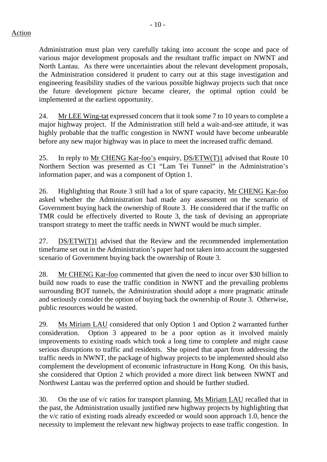Administration must plan very carefully taking into account the scope and pace of various major development proposals and the resultant traffic impact on NWNT and North Lantau. As there were uncertainties about the relevant development proposals, the Administration considered it prudent to carry out at this stage investigation and engineering feasibility studies of the various possible highway projects such that once the future development picture became clearer, the optimal option could be implemented at the earliest opportunity.

24. Mr LEE Wing-tat expressed concern that it took some 7 to 10 years to complete a major highway project. If the Administration still held a wait-and-see attitude, it was highly probable that the traffic congestion in NWNT would have become unbearable before any new major highway was in place to meet the increased traffic demand.

25. In reply to Mr CHENG Kar-foo's enquiry, DS/ETW(T)1 advised that Route 10 Northern Section was presented as C1 "Lam Tei Tunnel" in the Administration's information paper, and was a component of Option 1.

26. Highlighting that Route 3 still had a lot of spare capacity, Mr CHENG Kar-foo asked whether the Administration had made any assessment on the scenario of Government buying back the ownership of Route 3. He considered that if the traffic on TMR could be effectively diverted to Route 3, the task of devising an appropriate transport strategy to meet the traffic needs in NWNT would be much simpler.

27. DS/ETW(T)1 advised that the Review and the recommended implementation timeframe set out in the Administration's paper had not taken into account the suggested scenario of Government buying back the ownership of Route 3.

28. Mr CHENG Kar-foo commented that given the need to incur over \$30 billion to build now roads to ease the traffic condition in NWNT and the prevailing problems surrounding BOT tunnels, the Administration should adopt a more pragmatic attitude and seriously consider the option of buying back the ownership of Route 3. Otherwise, public resources would be wasted.

29. Ms Miriam LAU considered that only Option 1 and Option 2 warranted further consideration. Option 3 appeared to be a poor option as it involved mainly improvements to existing roads which took a long time to complete and might cause serious disruptions to traffic and residents. She opined that apart from addressing the traffic needs in NWNT, the package of highway projects to be implemented should also complement the development of economic infrastructure in Hong Kong. On this basis, she considered that Option 2 which provided a more direct link between NWNT and Northwest Lantau was the preferred option and should be further studied.

30. On the use of v/c ratios for transport planning, Ms Miriam LAU recalled that in the past, the Administration usually justified new highway projects by highlighting that the v/c ratio of existing roads already exceeded or would soon approach 1.0, hence the necessity to implement the relevant new highway projects to ease traffic congestion. In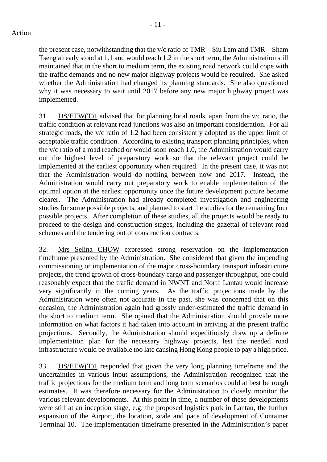## Action

the present case, notwithstanding that the v/c ratio of TMR – Siu Lam and TMR – Sham Tseng already stood at 1.1 and would reach 1.2 in the short term, the Administration still maintained that in the short to medium term, the existing road network could cope with the traffic demands and no new major highway projects would be required. She asked whether the Administration had changed its planning standards. She also questioned why it was necessary to wait until 2017 before any new major highway project was implemented.

31. DS/ETW(T)1 advised that for planning local roads, apart from the v/c ratio, the traffic condition at relevant road junctions was also an important consideration. For all strategic roads, the v/c ratio of 1.2 had been consistently adopted as the upper limit of acceptable traffic condition. According to existing transport planning principles, when the v/c ratio of a road reached or would soon reach 1.0, the Administration would carry out the highest level of preparatory work so that the relevant project could be implemented at the earliest opportunity when required. In the present case, it was not that the Administration would do nothing between now and 2017. Instead, the Administration would carry out preparatory work to enable implementation of the optimal option at the earliest opportunity once the future development picture became clearer. The Administration had already completed investigation and engineering studies for some possible projects, and planned to start the studies for the remaining four possible projects. After completion of these studies, all the projects would be ready to proceed to the design and construction stages, including the gazettal of relevant road schemes and the tendering out of construction contracts.

32. Mrs Selina CHOW expressed strong reservation on the implementation timeframe presented by the Administration. She considered that given the impending commissioning or implementation of the major cross-boundary transport infrastructure projects, the trend growth of cross-boundary cargo and passenger throughput, one could reasonably expect that the traffic demand in NWNT and North Lantau would increase very significantly in the coming years. As the traffic projections made by the Administration were often not accurate in the past, she was concerned that on this occasion, the Administration again had grossly under-estimated the traffic demand in the short to medium term. She opined that the Administration should provide more information on what factors it had taken into account in arriving at the present traffic projections. Secondly, the Administration should expeditiously draw up a definite implementation plan for the necessary highway projects, lest the needed road infrastructure would be available too late causing Hong Kong people to pay a high price.

33. DS/ETW(T)1 responded that given the very long planning timeframe and the uncertainties in various input assumptions, the Administration recognized that the traffic projections for the medium term and long term scenarios could at best be rough estimates. It was therefore necessary for the Administration to closely monitor the various relevant developments. At this point in time, a number of these developments were still at an inception stage, e.g. the proposed logistics park in Lantau, the further expansion of the Airport, the location, scale and pace of development of Container Terminal 10. The implementation timeframe presented in the Administration's paper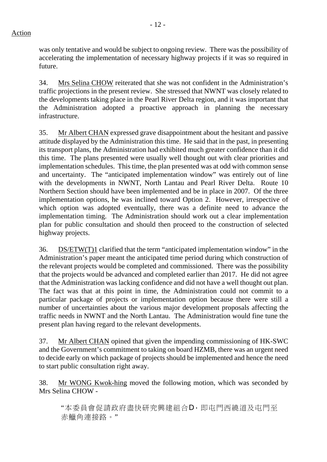was only tentative and would be subject to ongoing review. There was the possibility of accelerating the implementation of necessary highway projects if it was so required in future.

34. Mrs Selina CHOW reiterated that she was not confident in the Administration's traffic projections in the present review. She stressed that NWNT was closely related to the developments taking place in the Pearl River Delta region, and it was important that the Administration adopted a proactive approach in planning the necessary infrastructure.

35. Mr Albert CHAN expressed grave disappointment about the hesitant and passive attitude displayed by the Administration this time. He said that in the past, in presenting its transport plans, the Administration had exhibited much greater confidence than it did this time. The plans presented were usually well thought out with clear priorities and implementation schedules. This time, the plan presented was at odd with common sense and uncertainty. The "anticipated implementation window" was entirely out of line with the developments in NWNT, North Lantau and Pearl River Delta. Route 10 Northern Section should have been implemented and be in place in 2007. Of the three implementation options, he was inclined toward Option 2. However, irrespective of which option was adopted eventually, there was a definite need to advance the implementation timing. The Administration should work out a clear implementation plan for public consultation and should then proceed to the construction of selected highway projects.

36. DS/ETW(T)1 clarified that the term "anticipated implementation window" in the Administration's paper meant the anticipated time period during which construction of the relevant projects would be completed and commissioned. There was the possibility that the projects would be advanced and completed earlier than 2017. He did not agree that the Administration was lacking confidence and did not have a well thought out plan. The fact was that at this point in time, the Administration could not commit to a particular package of projects or implementation option because there were still a number of uncertainties about the various major development proposals affecting the traffic needs in NWNT and the North Lantau. The Administration would fine tune the present plan having regard to the relevant developments.

37. Mr Albert CHAN opined that given the impending commissioning of HK-SWC and the Government's commitment to taking on board HZMB, there was an urgent need to decide early on which package of projects should be implemented and hence the need to start public consultation right away.

38. Mr WONG Kwok-hing moved the following motion, which was seconded by Mrs Selina CHOW -

"本委員會促請政府盡快研究興建組合D,即屯門西繞道及屯門至 赤鱲角連接路。"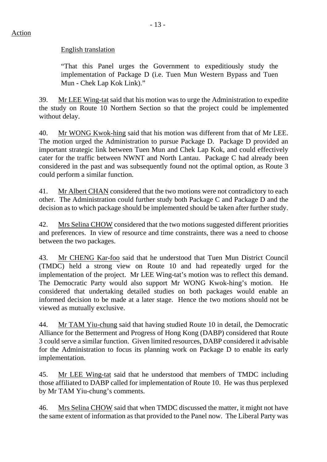#### English translation

"That this Panel urges the Government to expeditiously study the implementation of Package D (i.e. Tuen Mun Western Bypass and Tuen Mun **-** Chek Lap Kok Link)."

39. Mr LEE Wing-tat said that his motion was to urge the Administration to expedite the study on Route 10 Northern Section so that the project could be implemented without delay.

40. Mr WONG Kwok-hing said that his motion was different from that of Mr LEE. The motion urged the Administration to pursue Package D. Package D provided an important strategic link between Tuen Mun and Chek Lap Kok, and could effectively cater for the traffic between NWNT and North Lantau. Package C had already been considered in the past and was subsequently found not the optimal option, as Route 3 could perform a similar function.

41. Mr Albert CHAN considered that the two motions were not contradictory to each other. The Administration could further study both Package C and Package D and the decision as to which package should be implemented should be taken after further study.

42. Mrs Selina CHOW considered that the two motions suggested different priorities and preferences. In view of resource and time constraints, there was a need to choose between the two packages.

43. Mr CHENG Kar-foo said that he understood that Tuen Mun District Council (TMDC) held a strong view on Route 10 and had repeatedly urged for the implementation of the project. Mr LEE Wing-tat's motion was to reflect this demand. The Democratic Party would also support Mr WONG Kwok-hing's motion. He considered that undertaking detailed studies on both packages would enable an informed decision to be made at a later stage. Hence the two motions should not be viewed as mutually exclusive.

44. Mr TAM Yiu-chung said that having studied Route 10 in detail, the Democratic Alliance for the Betterment and Progress of Hong Kong (DABP) considered that Route 3 could serve a similar function. Given limited resources, DABP considered it advisable for the Administration to focus its planning work on Package D to enable its early implementation.

45. Mr LEE Wing-tat said that he understood that members of TMDC including those affiliated to DABP called for implementation of Route 10. He was thus perplexed by Mr TAM Yiu-chung's comments.

46. Mrs Selina CHOW said that when TMDC discussed the matter, it might not have the same extent of information as that provided to the Panel now. The Liberal Party was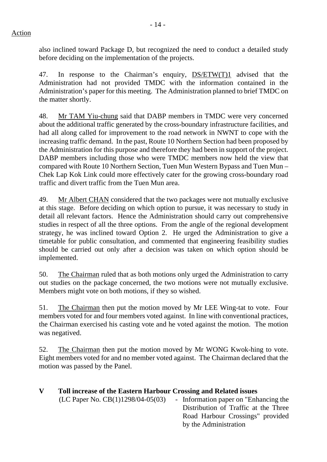also inclined toward Package D, but recognized the need to conduct a detailed study before deciding on the implementation of the projects.

47. In response to the Chairman's enquiry, DS/ETW(T)1 advised that the Administration had not provided TMDC with the information contained in the Administration's paper for this meeting. The Administration planned to brief TMDC on the matter shortly.

48. Mr TAM Yiu-chung said that DABP members in TMDC were very concerned about the additional traffic generated by the cross-boundary infrastructure facilities, and had all along called for improvement to the road network in NWNT to cope with the increasing traffic demand. In the past, Route 10 Northern Section had been proposed by the Administration for this purpose and therefore they had been in support of the project. DABP members including those who were TMDC members now held the view that compared with Route 10 Northern Section, Tuen Mun Western Bypass and Tuen Mun – Chek Lap Kok Link could more effectively cater for the growing cross-boundary road traffic and divert traffic from the Tuen Mun area.

49. Mr Albert CHAN considered that the two packages were not mutually exclusive at this stage. Before deciding on which option to pursue, it was necessary to study in detail all relevant factors. Hence the Administration should carry out comprehensive studies in respect of all the three options. From the angle of the regional development strategy, he was inclined toward Option 2. He urged the Administration to give a timetable for public consultation, and commented that engineering feasibility studies should be carried out only after a decision was taken on which option should be implemented.

50. The Chairman ruled that as both motions only urged the Administration to carry out studies on the package concerned, the two motions were not mutually exclusive. Members might vote on both motions, if they so wished.

51. The Chairman then put the motion moved by Mr LEE Wing-tat to vote. Four members voted for and four members voted against. In line with conventional practices, the Chairman exercised his casting vote and he voted against the motion. The motion was negatived.

52. The Chairman then put the motion moved by Mr WONG Kwok-hing to vote. Eight members voted for and no member voted against. The Chairman declared that the motion was passed by the Panel.

| Toll increase of the Eastern Harbour Crossing and Related issues |                                       |
|------------------------------------------------------------------|---------------------------------------|
| (LC Paper No. $CB(1)1298/04-05(03)$                              | - Information paper on "Enhancing the |
|                                                                  | Distribution of Traffic at the Three  |
|                                                                  | Road Harbour Crossings" provided      |
|                                                                  | by the Administration                 |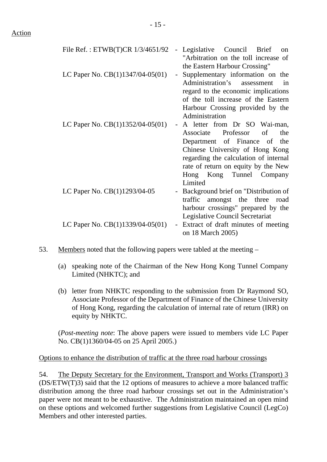| File Ref.: ETWB(T)CR 1/3/4651/92   | Legislative Council Brief<br>on              |
|------------------------------------|----------------------------------------------|
|                                    | "Arbitration on the toll increase of         |
|                                    | the Eastern Harbour Crossing"                |
| LC Paper No. $CB(1)1347/04-05(01)$ | Supplementary information on the<br>$\equiv$ |
|                                    | Administration's<br>assessment<br>in         |
|                                    | regard to the economic implications          |
|                                    | of the toll increase of the Eastern          |
|                                    | Harbour Crossing provided by the             |
|                                    | Administration                               |
| LC Paper No. $CB(1)1352/04-05(01)$ | A letter from Dr SO Wai-man,                 |
|                                    | of<br>Professor<br>Associate<br>the          |
|                                    | Department of Finance of<br>the              |
|                                    | Chinese University of Hong Kong              |
|                                    | regarding the calculation of internal        |
|                                    | rate of return on equity by the New          |
|                                    | Hong Kong Tunnel Company                     |
|                                    | Limited                                      |
| LC Paper No. CB(1)1293/04-05       | Background brief on "Distribution of         |
|                                    | traffic<br>amongst the three<br>road         |
|                                    | harbour crossings" prepared by the           |
|                                    | Legislative Council Secretariat              |
| LC Paper No. CB(1)1339/04-05(01)   | Extract of draft minutes of meeting          |
|                                    | on 18 March 2005)                            |

- 53. Members noted that the following papers were tabled at the meeting
	- (a) speaking note of the Chairman of the New Hong Kong Tunnel Company Limited (NHKTC); and
	- (b) letter from NHKTC responding to the submission from Dr Raymond SO, Associate Professor of the Department of Finance of the Chinese University of Hong Kong, regarding the calculation of internal rate of return (IRR) on equity by NHKTC.

(*Post-meeting note*: The above papers were issued to members vide LC Paper No. CB(1)1360/04-05 on 25 April 2005.)

Options to enhance the distribution of traffic at the three road harbour crossings

54. The Deputy Secretary for the Environment, Transport and Works (Transport) 3 (DS/ETW(T)3) said that the 12 options of measures to achieve a more balanced traffic distribution among the three road harbour crossings set out in the Administration's paper were not meant to be exhaustive. The Administration maintained an open mind on these options and welcomed further suggestions from Legislative Council (LegCo) Members and other interested parties.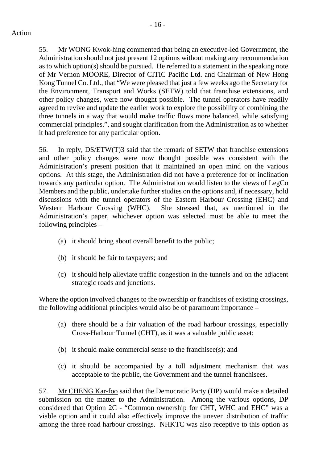55. Mr WONG Kwok-hing commented that being an executive-led Government, the Administration should not just present 12 options without making any recommendation as to which option(s) should be pursued. He referred to a statement in the speaking note of Mr Vernon MOORE, Director of CITIC Pacific Ltd. and Chairman of New Hong Kong Tunnel Co. Ltd., that "We were pleased that just a few weeks ago the Secretary for the Environment, Transport and Works (SETW) told that franchise extensions, and other policy changes, were now thought possible. The tunnel operators have readily agreed to revive and update the earlier work to explore the possibility of combining the three tunnels in a way that would make traffic flows more balanced, while satisfying commercial principles.", and sought clarification from the Administration as to whether it had preference for any particular option.

56. In reply, DS/ETW(T)3 said that the remark of SETW that franchise extensions and other policy changes were now thought possible was consistent with the Administration's present position that it maintained an open mind on the various options. At this stage, the Administration did not have a preference for or inclination towards any particular option. The Administration would listen to the views of LegCo Members and the public, undertake further studies on the options and, if necessary, hold discussions with the tunnel operators of the Eastern Harbour Crossing (EHC) and Western Harbour Crossing (WHC). She stressed that, as mentioned in the Administration's paper, whichever option was selected must be able to meet the following principles –

- (a) it should bring about overall benefit to the public;
- (b) it should be fair to taxpayers; and
- (c) it should help alleviate traffic congestion in the tunnels and on the adjacent strategic roads and junctions.

Where the option involved changes to the ownership or franchises of existing crossings, the following additional principles would also be of paramount importance –

- (a) there should be a fair valuation of the road harbour crossings, especially Cross-Harbour Tunnel (CHT), as it was a valuable public asset;
- (b) it should make commercial sense to the franchisee(s); and
- (c) it should be accompanied by a toll adjustment mechanism that was acceptable to the public, the Government and the tunnel franchisees.

57. Mr CHENG Kar-foo said that the Democratic Party (DP) would make a detailed submission on the matter to the Administration. Among the various options, DP considered that Option 2C - "Common ownership for CHT, WHC and EHC" was a viable option and it could also effectively improve the uneven distribution of traffic among the three road harbour crossings. NHKTC was also receptive to this option as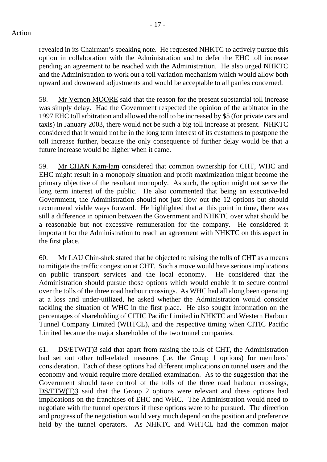revealed in its Chairman's speaking note. He requested NHKTC to actively pursue this option in collaboration with the Administration and to defer the EHC toll increase pending an agreement to be reached with the Administration. He also urged NHKTC and the Administration to work out a toll variation mechanism which would allow both upward and downward adjustments and would be acceptable to all parties concerned.

58. Mr Vernon MOORE said that the reason for the present substantial toll increase was simply delay. Had the Government respected the opinion of the arbitrator in the 1997 EHC toll arbitration and allowed the toll to be increased by \$5 (for private cars and taxis) in January 2003, there would not be such a big toll increase at present. NHKTC considered that it would not be in the long term interest of its customers to postpone the toll increase further, because the only consequence of further delay would be that a future increase would be higher when it came.

59. Mr CHAN Kam-lam considered that common ownership for CHT, WHC and EHC might result in a monopoly situation and profit maximization might become the primary objective of the resultant monopoly. As such, the option might not serve the long term interest of the public. He also commented that being an executive-led Government, the Administration should not just flow out the 12 options but should recommend viable ways forward. He highlighted that at this point in time, there was still a difference in opinion between the Government and NHKTC over what should be a reasonable but not excessive remuneration for the company. He considered it important for the Administration to reach an agreement with NHKTC on this aspect in the first place.

60. Mr LAU Chin-shek stated that he objected to raising the tolls of CHT as a means to mitigate the traffic congestion at CHT. Such a move would have serious implications on public transport services and the local economy. He considered that the Administration should pursue those options which would enable it to secure control over the tolls of the three road harbour crossings. As WHC had all along been operating at a loss and under-utilized, he asked whether the Administration would consider tackling the situation of WHC in the first place. He also sought information on the percentages of shareholding of CITIC Pacific Limited in NHKTC and Western Harbour Tunnel Company Limited (WHTCL), and the respective timing when CITIC Pacific Limited became the major shareholder of the two tunnel companies.

61. DS/ETW(T)3 said that apart from raising the tolls of CHT, the Administration had set out other toll-related measures (i.e. the Group 1 options) for members' consideration. Each of these options had different implications on tunnel users and the economy and would require more detailed examination. As to the suggestion that the Government should take control of the tolls of the three road harbour crossings, DS/ETW(T)3 said that the Group 2 options were relevant and these options had implications on the franchises of EHC and WHC. The Administration would need to negotiate with the tunnel operators if these options were to be pursued. The direction and progress of the negotiation would very much depend on the position and preference held by the tunnel operators. As NHKTC and WHTCL had the common major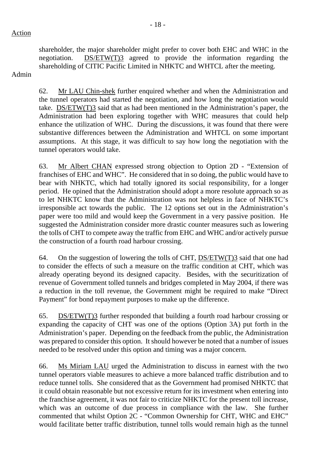shareholder, the major shareholder might prefer to cover both EHC and WHC in the negotiation. DS/ETW(T)3 agreed to provide the information regarding the shareholding of CITIC Pacific Limited in NHKTC and WHTCL after the meeting.

Admin

62. Mr LAU Chin-shek further enquired whether and when the Administration and the tunnel operators had started the negotiation, and how long the negotiation would take. DS/ETW(T)3 said that as had been mentioned in the Administration's paper, the Administration had been exploring together with WHC measures that could help enhance the utilization of WHC. During the discussions, it was found that there were substantive differences between the Administration and WHTCL on some important assumptions. At this stage, it was difficult to say how long the negotiation with the tunnel operators would take.

63. Mr Albert CHAN expressed strong objection to Option 2D - "Extension of franchises of EHC and WHC". He considered that in so doing, the public would have to bear with NHKTC, which had totally ignored its social responsibility, for a longer period. He opined that the Administration should adopt a more resolute approach so as to let NHKTC know that the Administration was not helpless in face of NHKTC's irresponsible act towards the public. The 12 options set out in the Administration's paper were too mild and would keep the Government in a very passive position. He suggested the Administration consider more drastic counter measures such as lowering the tolls of CHT to compete away the traffic from EHC and WHC and/or actively pursue the construction of a fourth road harbour crossing.

64. On the suggestion of lowering the tolls of CHT, DS/ETW(T)3 said that one had to consider the effects of such a measure on the traffic condition at CHT, which was already operating beyond its designed capacity. Besides, with the securitization of revenue of Government tolled tunnels and bridges completed in May 2004, if there was a reduction in the toll revenue, the Government might be required to make "Direct Payment" for bond repayment purposes to make up the difference.

65. DS/ETW(T)3 further responded that building a fourth road harbour crossing or expanding the capacity of CHT was one of the options (Option 3A) put forth in the Administration's paper. Depending on the feedback from the public, the Administration was prepared to consider this option. It should however be noted that a number of issues needed to be resolved under this option and timing was a major concern.

66. Ms Miriam LAU urged the Administration to discuss in earnest with the two tunnel operators viable measures to achieve a more balanced traffic distribution and to reduce tunnel tolls. She considered that as the Government had promised NHKTC that it could obtain reasonable but not excessive return for its investment when entering into the franchise agreement, it was not fair to criticize NHKTC for the present toll increase, which was an outcome of due process in compliance with the law. She further commented that whilst Option 2C - "Common Ownership for CHT, WHC and EHC" would facilitate better traffic distribution, tunnel tolls would remain high as the tunnel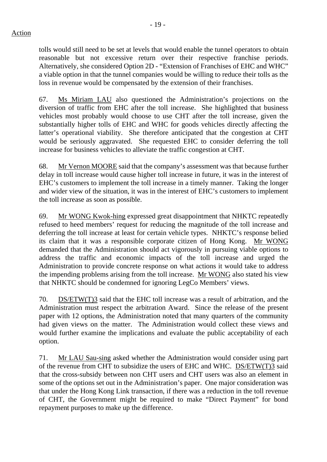tolls would still need to be set at levels that would enable the tunnel operators to obtain reasonable but not excessive return over their respective franchise periods. Alternatively, she considered Option 2D - "Extension of Franchises of EHC and WHC" a viable option in that the tunnel companies would be willing to reduce their tolls as the loss in revenue would be compensated by the extension of their franchises.

67. Ms Miriam LAU also questioned the Administration's projections on the diversion of traffic from EHC after the toll increase. She highlighted that business vehicles most probably would choose to use CHT after the toll increase, given the substantially higher tolls of EHC and WHC for goods vehicles directly affecting the latter's operational viability. She therefore anticipated that the congestion at CHT would be seriously aggravated. She requested EHC to consider deferring the toll increase for business vehicles to alleviate the traffic congestion at CHT.

68. Mr Vernon MOORE said that the company's assessment was that because further delay in toll increase would cause higher toll increase in future, it was in the interest of EHC's customers to implement the toll increase in a timely manner. Taking the longer and wider view of the situation, it was in the interest of EHC's customers to implement the toll increase as soon as possible.

69. Mr WONG Kwok-hing expressed great disappointment that NHKTC repeatedly refused to heed members' request for reducing the magnitude of the toll increase and deferring the toll increase at least for certain vehicle types. NHKTC's response belied its claim that it was a responsible corporate citizen of Hong Kong. Mr WONG demanded that the Administration should act vigorously in pursuing viable options to address the traffic and economic impacts of the toll increase and urged the Administration to provide concrete response on what actions it would take to address the impending problems arising from the toll increase. Mr WONG also stated his view that NHKTC should be condemned for ignoring LegCo Members' views.

70. DS/ETW(T)3 said that the EHC toll increase was a result of arbitration, and the Administration must respect the arbitration Award. Since the release of the present paper with 12 options, the Administration noted that many quarters of the community had given views on the matter. The Administration would collect these views and would further examine the implications and evaluate the public acceptability of each option.

71. Mr LAU Sau-sing asked whether the Administration would consider using part of the revenue from CHT to subsidize the users of EHC and WHC. DS/ETW(T)3 said that the cross-subsidy between non CHT users and CHT users was also an element in some of the options set out in the Administration's paper. One major consideration was that under the Hong Kong Link transaction, if there was a reduction in the toll revenue of CHT, the Government might be required to make "Direct Payment" for bond repayment purposes to make up the difference.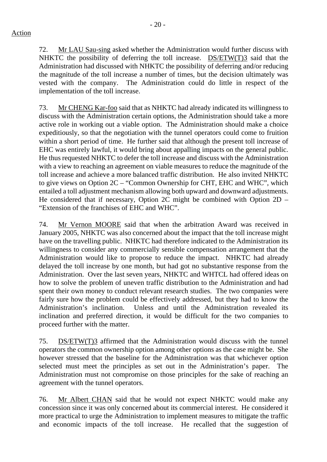Action

72. Mr LAU Sau-sing asked whether the Administration would further discuss with NHKTC the possibility of deferring the toll increase. DS/ETW(T)3 said that the Administration had discussed with NHKTC the possibility of deferring and/or reducing the magnitude of the toll increase a number of times, but the decision ultimately was vested with the company. The Administration could do little in respect of the implementation of the toll increase.

73. Mr CHENG Kar-foo said that as NHKTC had already indicated its willingness to discuss with the Administration certain options, the Administration should take a more active role in working out a viable option. The Administration should make a choice expeditiously, so that the negotiation with the tunnel operators could come to fruition within a short period of time. He further said that although the present toll increase of EHC was entirely lawful, it would bring about appalling impacts on the general public. He thus requested NHKTC to defer the toll increase and discuss with the Administration with a view to reaching an agreement on viable measures to reduce the magnitude of the toll increase and achieve a more balanced traffic distribution. He also invited NHKTC to give views on Option 2C – "Common Ownership for CHT, EHC and WHC", which entailed a toll adjustment mechanism allowing both upward and downward adjustments. He considered that if necessary, Option 2C might be combined with Option 2D – "Extension of the franchises of EHC and WHC".

74. Mr Vernon MOORE said that when the arbitration Award was received in January 2005, NHKTC was also concerned about the impact that the toll increase might have on the travelling public. NHKTC had therefore indicated to the Administration its willingness to consider any commercially sensible compensation arrangement that the Administration would like to propose to reduce the impact. NHKTC had already delayed the toll increase by one month, but had got no substantive response from the Administration. Over the last seven years, NHKTC and WHTCL had offered ideas on how to solve the problem of uneven traffic distribution to the Administration and had spent their own money to conduct relevant research studies. The two companies were fairly sure how the problem could be effectively addressed, but they had to know the Administration's inclination. Unless and until the Administration revealed its inclination and preferred direction, it would be difficult for the two companies to proceed further with the matter.

75. DS/ETW(T)3 affirmed that the Administration would discuss with the tunnel operators the common ownership option among other options as the case might be. She however stressed that the baseline for the Administration was that whichever option selected must meet the principles as set out in the Administration's paper. The Administration must not compromise on those principles for the sake of reaching an agreement with the tunnel operators.

76. Mr Albert CHAN said that he would not expect NHKTC would make any concession since it was only concerned about its commercial interest. He considered it more practical to urge the Administration to implement measures to mitigate the traffic and economic impacts of the toll increase. He recalled that the suggestion of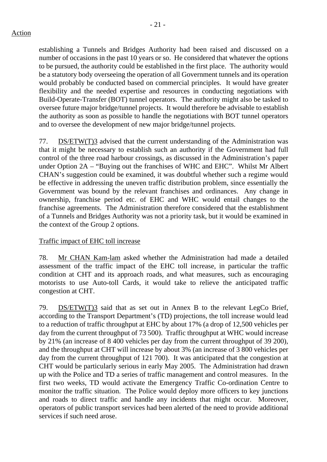establishing a Tunnels and Bridges Authority had been raised and discussed on a number of occasions in the past 10 years or so. He considered that whatever the options to be pursued, the authority could be established in the first place. The authority would be a statutory body overseeing the operation of all Government tunnels and its operation would probably be conducted based on commercial principles. It would have greater flexibility and the needed expertise and resources in conducting negotiations with Build-Operate-Transfer (BOT) tunnel operators. The authority might also be tasked to oversee future major bridge/tunnel projects. It would therefore be advisable to establish the authority as soon as possible to handle the negotiations with BOT tunnel operators and to oversee the development of new major bridge/tunnel projects.

77. DS/ETW(T)3 advised that the current understanding of the Administration was that it might be necessary to establish such an authority if the Government had full control of the three road harbour crossings, as discussed in the Administration's paper under Option 2A – "Buying out the franchises of WHC and EHC". Whilst Mr Albert CHAN's suggestion could be examined, it was doubtful whether such a regime would be effective in addressing the uneven traffic distribution problem, since essentially the Government was bound by the relevant franchises and ordinances. Any change in ownership, franchise period etc. of EHC and WHC would entail changes to the franchise agreements. The Administration therefore considered that the establishment of a Tunnels and Bridges Authority was not a priority task, but it would be examined in the context of the Group 2 options.

## Traffic impact of EHC toll increase

78. Mr CHAN Kam-lam asked whether the Administration had made a detailed assessment of the traffic impact of the EHC toll increase, in particular the traffic condition at CHT and its approach roads, and what measures, such as encouraging motorists to use Auto-toll Cards, it would take to relieve the anticipated traffic congestion at CHT.

79. DS/ETW(T)3 said that as set out in Annex B to the relevant LegCo Brief, according to the Transport Department's (TD) projections, the toll increase would lead to a reduction of traffic throughput at EHC by about 17% (a drop of 12,500 vehicles per day from the current throughput of 73 500). Traffic throughput at WHC would increase by 21% (an increase of 8 400 vehicles per day from the current throughput of 39 200), and the throughput at CHT will increase by about 3% (an increase of 3 800 vehicles per day from the current throughput of 121 700). It was anticipated that the congestion at CHT would be particularly serious in early May 2005. The Administration had drawn up with the Police and TD a series of traffic management and control measures. In the first two weeks, TD would activate the Emergency Traffic Co-ordination Centre to monitor the traffic situation. The Police would deploy more officers to key junctions and roads to direct traffic and handle any incidents that might occur. Moreover, operators of public transport services had been alerted of the need to provide additional services if such need arose.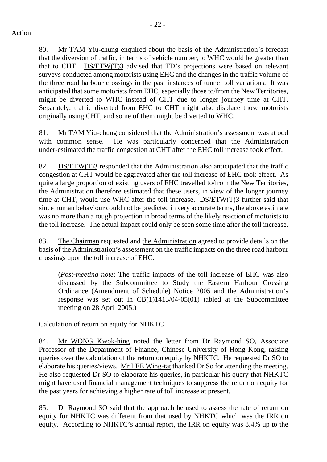- 22 -

80. Mr TAM Yiu-chung enquired about the basis of the Administration's forecast that the diversion of traffic, in terms of vehicle number, to WHC would be greater than that to CHT.  $DS/ETW(T)3$  advised that TD's projections were based on relevant surveys conducted among motorists using EHC and the changes in the traffic volume of the three road harbour crossings in the past instances of tunnel toll variations. It was anticipated that some motorists from EHC, especially those to/from the New Territories, might be diverted to WHC instead of CHT due to longer journey time at CHT. Separately, traffic diverted from EHC to CHT might also displace those motorists originally using CHT, and some of them might be diverted to WHC.

81. Mr TAM Yiu-chung considered that the Administration's assessment was at odd with common sense. He was particularly concerned that the Administration under-estimated the traffic congestion at CHT after the EHC toll increase took effect.

82. DS/ETW(T)3 responded that the Administration also anticipated that the traffic congestion at CHT would be aggravated after the toll increase of EHC took effect. As quite a large proportion of existing users of EHC travelled to/from the New Territories, the Administration therefore estimated that these users, in view of the longer journey time at CHT, would use WHC after the toll increase. DS/ETW(T)3 further said that since human behaviour could not be predicted in very accurate terms, the above estimate was no more than a rough projection in broad terms of the likely reaction of motorists to the toll increase. The actual impact could only be seen some time after the toll increase.

83. The Chairman requested and the Administration agreed to provide details on the basis of the Administration's assessment on the traffic impacts on the three road harbour crossings upon the toll increase of EHC.

(*Post-meeting note*: The traffic impacts of the toll increase of EHC was also discussed by the Subcommittee to Study the Eastern Harbour Crossing Ordinance (Amendment of Schedule) Notice 2005 and the Administration's response was set out in CB(1)1413/04-05(01) tabled at the Subcommittee meeting on 28 April 2005.)

## Calculation of return on equity for NHKTC

84. Mr WONG Kwok-hing noted the letter from Dr Raymond SO, Associate Professor of the Department of Finance, Chinese University of Hong Kong, raising queries over the calculation of the return on equity by NHKTC. He requested Dr SO to elaborate his queries/views. Mr LEE Wing-tat thanked Dr So for attending the meeting. He also requested Dr SO to elaborate his queries, in particular his query that NHKTC might have used financial management techniques to suppress the return on equity for the past years for achieving a higher rate of toll increase at present.

85. Dr Raymond SO said that the approach he used to assess the rate of return on equity for NHKTC was different from that used by NHKTC which was the IRR on equity. According to NHKTC's annual report, the IRR on equity was 8.4% up to the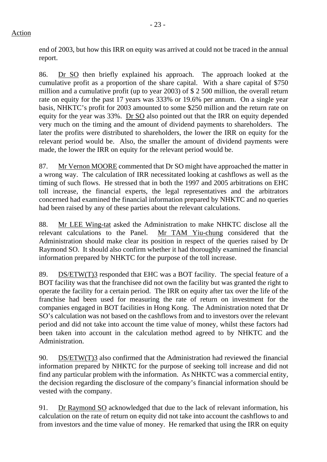end of 2003, but how this IRR on equity was arrived at could not be traced in the annual report.

86. Dr SO then briefly explained his approach. The approach looked at the cumulative profit as a proportion of the share capital. With a share capital of \$750 million and a cumulative profit (up to year 2003) of \$ 2 500 million, the overall return rate on equity for the past 17 years was 333% or 19.6% per annum. On a single year basis, NHKTC's profit for 2003 amounted to some \$250 million and the return rate on equity for the year was 33%. Dr SO also pointed out that the IRR on equity depended very much on the timing and the amount of dividend payments to shareholders. The later the profits were distributed to shareholders, the lower the IRR on equity for the relevant period would be. Also, the smaller the amount of dividend payments were made, the lower the IRR on equity for the relevant period would be.

87. Mr Vernon MOORE commented that Dr SO might have approached the matter in a wrong way. The calculation of IRR necessitated looking at cashflows as well as the timing of such flows. He stressed that in both the 1997 and 2005 arbitrations on EHC toll increase, the financial experts, the legal representatives and the arbitrators concerned had examined the financial information prepared by NHKTC and no queries had been raised by any of these parties about the relevant calculations.

88. Mr LEE Wing-tat asked the Administration to make NHKTC disclose all the relevant calculations to the Panel. Mr TAM Yiu-chung considered that the Administration should make clear its position in respect of the queries raised by Dr Raymond SO. It should also confirm whether it had thoroughly examined the financial information prepared by NHKTC for the purpose of the toll increase.

89. DS/ETW(T)3 responded that EHC was a BOT facility. The special feature of a BOT facility was that the franchisee did not own the facility but was granted the right to operate the facility for a certain period. The IRR on equity after tax over the life of the franchise had been used for measuring the rate of return on investment for the companies engaged in BOT facilities in Hong Kong. The Administration noted that Dr SO's calculation was not based on the cashflows from and to investors over the relevant period and did not take into account the time value of money, whilst these factors had been taken into account in the calculation method agreed to by NHKTC and the Administration.

90. DS/ETW(T)3 also confirmed that the Administration had reviewed the financial information prepared by NHKTC for the purpose of seeking toll increase and did not find any particular problem with the information. As NHKTC was a commercial entity, the decision regarding the disclosure of the company's financial information should be vested with the company.

91. Dr Raymond SO acknowledged that due to the lack of relevant information, his calculation on the rate of return on equity did not take into account the cashflows to and from investors and the time value of money. He remarked that using the IRR on equity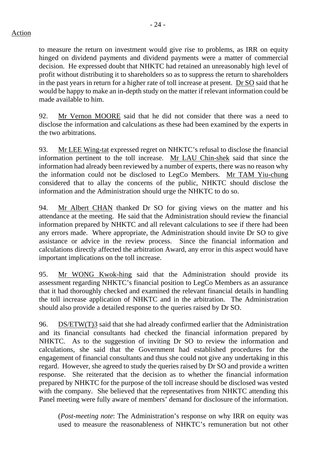to measure the return on investment would give rise to problems, as IRR on equity hinged on dividend payments and dividend payments were a matter of commercial decision. He expressed doubt that NHKTC had retained an unreasonably high level of profit without distributing it to shareholders so as to suppress the return to shareholders in the past years in return for a higher rate of toll increase at present. Dr SO said that he would be happy to make an in-depth study on the matter if relevant information could be made available to him.

92. Mr Vernon MOORE said that he did not consider that there was a need to disclose the information and calculations as these had been examined by the experts in the two arbitrations.

93. Mr LEE Wing-tat expressed regret on NHKTC's refusal to disclose the financial information pertinent to the toll increase. Mr LAU Chin-shek said that since the information had already been reviewed by a number of experts, there was no reason why the information could not be disclosed to LegCo Members. Mr TAM Yiu-chung considered that to allay the concerns of the public, NHKTC should disclose the information and the Administration should urge the NHKTC to do so.

94. Mr Albert CHAN thanked Dr SO for giving views on the matter and his attendance at the meeting. He said that the Administration should review the financial information prepared by NHKTC and all relevant calculations to see if there had been any errors made. Where appropriate, the Administration should invite Dr SO to give assistance or advice in the review process. Since the financial information and calculations directly affected the arbitration Award, any error in this aspect would have important implications on the toll increase.

95. Mr WONG Kwok-hing said that the Administration should provide its assessment regarding NHKTC's financial position to LegCo Members as an assurance that it had thoroughly checked and examined the relevant financial details in handling the toll increase application of NHKTC and in the arbitration. The Administration should also provide a detailed response to the queries raised by Dr SO.

96. DS/ETW(T)3 said that she had already confirmed earlier that the Administration and its financial consultants had checked the financial information prepared by NHKTC. As to the suggestion of inviting Dr SO to review the information and calculations, she said that the Government had established procedures for the engagement of financial consultants and thus she could not give any undertaking in this regard. However, she agreed to study the queries raised by Dr SO and provide a written response. She reiterated that the decision as to whether the financial information prepared by NHKTC for the purpose of the toll increase should be disclosed was vested with the company. She believed that the representatives from NHKTC attending this Panel meeting were fully aware of members' demand for disclosure of the information.

(*Post-meeting note*: The Administration's response on why IRR on equity was used to measure the reasonableness of NHKTC's remuneration but not other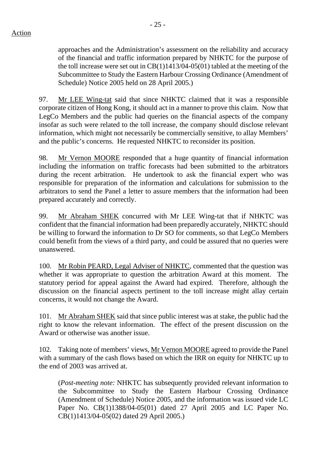approaches and the Administration's assessment on the reliability and accuracy of the financial and traffic information prepared by NHKTC for the purpose of the toll increase were set out in  $CB(1)1413/04-05(01)$  tabled at the meeting of the Subcommittee to Study the Eastern Harbour Crossing Ordinance (Amendment of Schedule) Notice 2005 held on 28 April 2005.)

97. Mr LEE Wing-tat said that since NHKTC claimed that it was a responsible corporate citizen of Hong Kong, it should act in a manner to prove this claim. Now that LegCo Members and the public had queries on the financial aspects of the company insofar as such were related to the toll increase, the company should disclose relevant information, which might not necessarily be commercially sensitive, to allay Members' and the public's concerns. He requested NHKTC to reconsider its position.

98. Mr Vernon MOORE responded that a huge quantity of financial information including the information on traffic forecasts had been submitted to the arbitrators during the recent arbitration. He undertook to ask the financial expert who was responsible for preparation of the information and calculations for submission to the arbitrators to send the Panel a letter to assure members that the information had been prepared accurately and correctly.

99. Mr Abraham SHEK concurred with Mr LEE Wing-tat that if NHKTC was confident that the financial information had been preparedly accurately, NHKTC should be willing to forward the information to Dr SO for comments, so that LegCo Members could benefit from the views of a third party, and could be assured that no queries were unanswered.

100. Mr Robin PEARD, Legal Adviser of NHKTC, commented that the question was whether it was appropriate to question the arbitration Award at this moment. The statutory period for appeal against the Award had expired. Therefore, although the discussion on the financial aspects pertinent to the toll increase might allay certain concerns, it would not change the Award.

101. Mr Abraham SHEK said that since public interest was at stake, the public had the right to know the relevant information. The effect of the present discussion on the Award or otherwise was another issue.

102. Taking note of members' views, Mr Vernon MOORE agreed to provide the Panel with a summary of the cash flows based on which the IRR on equity for NHKTC up to the end of 2003 was arrived at.

(*Post-meeting note:* NHKTC has subsequently provided relevant information to the Subcommittee to Study the Eastern Harbour Crossing Ordinance (Amendment of Schedule) Notice 2005, and the information was issued vide LC Paper No. CB(1)1388/04-05(01) dated 27 April 2005 and LC Paper No. CB(1)1413/04-05(02) dated 29 April 2005.)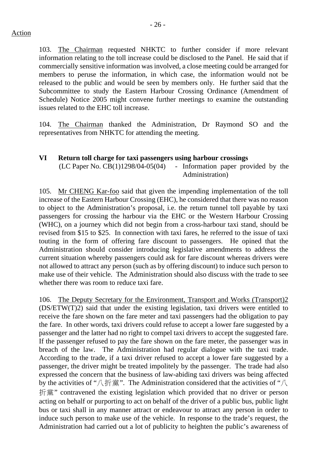103. The Chairman requested NHKTC to further consider if more relevant information relating to the toll increase could be disclosed to the Panel. He said that if commercially sensitive information was involved, a close meeting could be arranged for members to peruse the information, in which case, the information would not be released to the public and would be seen by members only. He further said that the Subcommittee to study the Eastern Harbour Crossing Ordinance (Amendment of Schedule) Notice 2005 might convene further meetings to examine the outstanding issues related to the EHC toll increase.

104. The Chairman thanked the Administration, Dr Raymond SO and the representatives from NHKTC for attending the meeting.

#### **VI Return toll charge for taxi passengers using harbour crossings**

 $(LC$  Paper No.  $CB(1)1298/04-05(04)$  - Information paper provided by the Administration)

105. Mr CHENG Kar-foo said that given the impending implementation of the toll increase of the Eastern Harbour Crossing (EHC), he considered that there was no reason to object to the Administration's proposal, i.e. the return tunnel toll payable by taxi passengers for crossing the harbour via the EHC or the Western Harbour Crossing (WHC), on a journey which did not begin from a cross-harbour taxi stand, should be revised from \$15 to \$25. In connection with taxi fares, he referred to the issue of taxi touting in the form of offering fare discount to passengers. He opined that the Administration should consider introducing legislative amendments to address the current situation whereby passengers could ask for fare discount whereas drivers were not allowed to attract any person (such as by offering discount) to induce such person to make use of their vehicle. The Administration should also discuss with the trade to see whether there was room to reduce taxi fare.

106. The Deputy Secretary for the Environment, Transport and Works (Transport)2 (DS/ETW(T)2) said that under the existing legislation, taxi drivers were entitled to receive the fare shown on the fare meter and taxi passengers had the obligation to pay the fare. In other words, taxi drivers could refuse to accept a lower fare suggested by a passenger and the latter had no right to compel taxi drivers to accept the suggested fare. If the passenger refused to pay the fare shown on the fare meter, the passenger was in breach of the law. The Administration had regular dialogue with the taxi trade. According to the trade, if a taxi driver refused to accept a lower fare suggested by a passenger, the driver might be treated impolitely by the passenger. The trade had also expressed the concern that the business of law-abiding taxi drivers was being affected by the activities of "八折黨". The Administration considered that the activities of "八 折黨" contravened the existing legislation which provided that no driver or person acting on behalf or purporting to act on behalf of the driver of a public bus, public light bus or taxi shall in any manner attract or endeavour to attract any person in order to induce such person to make use of the vehicle. In response to the trade's request, the Administration had carried out a lot of publicity to heighten the public's awareness of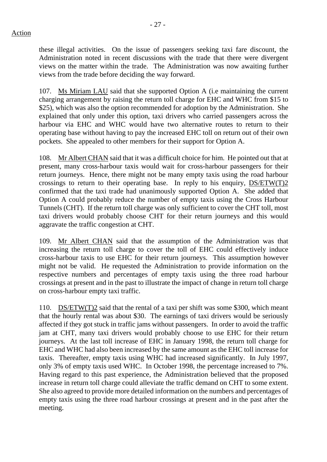these illegal activities. On the issue of passengers seeking taxi fare discount, the Administration noted in recent discussions with the trade that there were divergent views on the matter within the trade. The Administration was now awaiting further views from the trade before deciding the way forward.

107. Ms Miriam LAU said that she supported Option A (i.e maintaining the current charging arrangement by raising the return toll charge for EHC and WHC from \$15 to \$25), which was also the option recommended for adoption by the Administration. She explained that only under this option, taxi drivers who carried passengers across the harbour via EHC and WHC would have two alternative routes to return to their operating base without having to pay the increased EHC toll on return out of their own pockets. She appealed to other members for their support for Option A.

108. Mr Albert CHAN said that it was a difficult choice for him. He pointed out that at present, many cross-harbour taxis would wait for cross-harbour passengers for their return journeys. Hence, there might not be many empty taxis using the road harbour crossings to return to their operating base. In reply to his enquiry, DS/ETW(T)2 confirmed that the taxi trade had unanimously supported Option A. She added that Option A could probably reduce the number of empty taxis using the Cross Harbour Tunnels (CHT). If the return toll charge was only sufficient to cover the CHT toll, most taxi drivers would probably choose CHT for their return journeys and this would aggravate the traffic congestion at CHT.

109. Mr Albert CHAN said that the assumption of the Administration was that increasing the return toll charge to cover the toll of EHC could effectively induce cross-harbour taxis to use EHC for their return journeys. This assumption however might not be valid. He requested the Administration to provide information on the respective numbers and percentages of empty taxis using the three road harbour crossings at present and in the past to illustrate the impact of change in return toll charge on cross-harbour empty taxi traffic.

110. DS/ETW(T)2 said that the rental of a taxi per shift was some \$300, which meant that the hourly rental was about \$30. The earnings of taxi drivers would be seriously affected if they got stuck in traffic jams without passengers. In order to avoid the traffic jam at CHT, many taxi drivers would probably choose to use EHC for their return journeys. At the last toll increase of EHC in January 1998, the return toll charge for EHC and WHC had also been increased by the same amount as the EHC toll increase for taxis. Thereafter, empty taxis using WHC had increased significantly. In July 1997, only 3% of empty taxis used WHC. In October 1998, the percentage increased to 7%. Having regard to this past experience, the Administration believed that the proposed increase in return toll charge could alleviate the traffic demand on CHT to some extent. She also agreed to provide more detailed information on the numbers and percentages of empty taxis using the three road harbour crossings at present and in the past after the meeting.